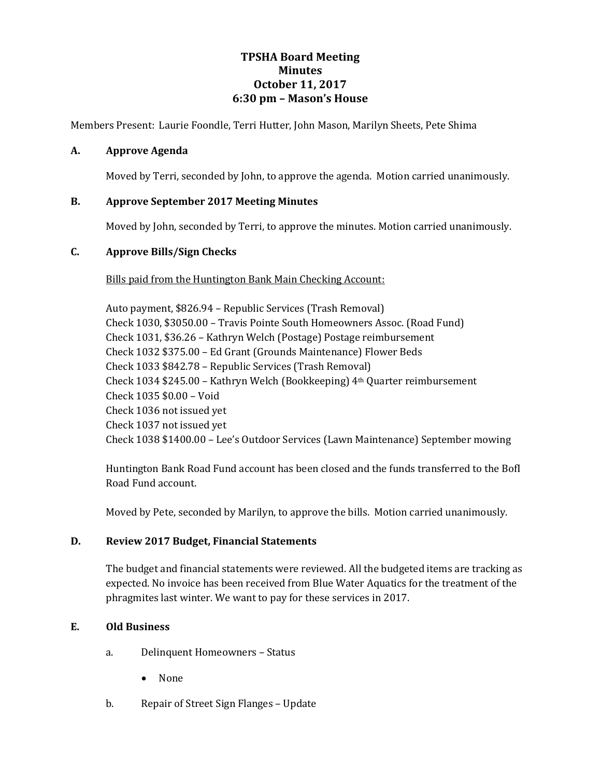# **TPSHA Board Meeting Minutes October 11, 2017 6:30 pm – Mason's House**

Members Present: Laurie Foondle, Terri Hutter, John Mason, Marilyn Sheets, Pete Shima

## **A. Approve Agenda**

Moved by Terri, seconded by John, to approve the agenda. Motion carried unanimously.

## **B. Approve September 2017 Meeting Minutes**

Moved by John, seconded by Terri, to approve the minutes. Motion carried unanimously.

## **C. Approve Bills/Sign Checks**

## Bills paid from the Huntington Bank Main Checking Account:

Auto payment, \$826.94 – Republic Services (Trash Removal) Check 1030, \$3050.00 – Travis Pointe South Homeowners Assoc. (Road Fund) Check 1031, \$36.26 – Kathryn Welch (Postage) Postage reimbursement Check 1032 \$375.00 – Ed Grant (Grounds Maintenance) Flower Beds Check 1033 \$842.78 – Republic Services (Trash Removal) Check 1034 \$245.00 – Kathryn Welch (Bookkeeping) 4th Quarter reimbursement Check 1035 \$0.00 – Void Check 1036 not issued yet Check 1037 not issued yet Check 1038 \$1400.00 – Lee's Outdoor Services (Lawn Maintenance) September mowing

Huntington Bank Road Fund account has been closed and the funds transferred to the BofI Road Fund account.

Moved by Pete, seconded by Marilyn, to approve the bills. Motion carried unanimously.

#### **D. Review 2017 Budget, Financial Statements**

The budget and financial statements were reviewed. All the budgeted items are tracking as expected. No invoice has been received from Blue Water Aquatics for the treatment of the phragmites last winter. We want to pay for these services in 2017.

## **E. Old Business**

- a. Delinquent Homeowners Status
	- None
- b. Repair of Street Sign Flanges Update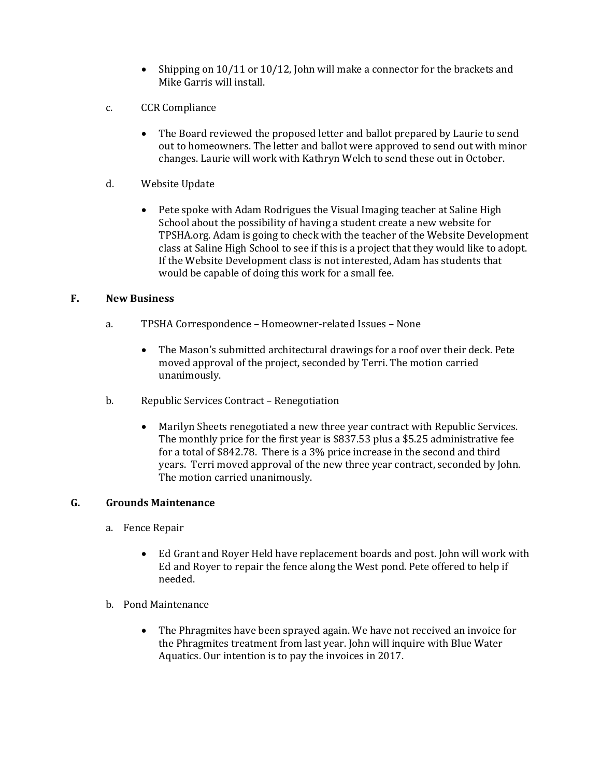- Shipping on 10/11 or 10/12, John will make a connector for the brackets and Mike Garris will install.
- c. CCR Compliance
	- The Board reviewed the proposed letter and ballot prepared by Laurie to send out to homeowners. The letter and ballot were approved to send out with minor changes. Laurie will work with Kathryn Welch to send these out in October.
- d. Website Update
	- Pete spoke with Adam Rodrigues the Visual Imaging teacher at Saline High School about the possibility of having a student create a new website for TPSHA.org. Adam is going to check with the teacher of the Website Development class at Saline High School to see if this is a project that they would like to adopt. If the Website Development class is not interested, Adam has students that would be capable of doing this work for a small fee.

## **F. New Business**

- a. TPSHA Correspondence Homeowner-related Issues None
	- The Mason's submitted architectural drawings for a roof over their deck. Pete moved approval of the project, seconded by Terri. The motion carried unanimously.
- b. Republic Services Contract Renegotiation
	- Marilyn Sheets renegotiated a new three year contract with Republic Services. The monthly price for the first year is \$837.53 plus a \$5.25 administrative fee for a total of \$842.78. There is a 3% price increase in the second and third years. Terri moved approval of the new three year contract, seconded by John. The motion carried unanimously.

## **G. Grounds Maintenance**

- a. Fence Repair
	- Ed Grant and Royer Held have replacement boards and post. John will work with Ed and Royer to repair the fence along the West pond. Pete offered to help if needed.
- b. Pond Maintenance
	- The Phragmites have been sprayed again. We have not received an invoice for the Phragmites treatment from last year. John will inquire with Blue Water Aquatics. Our intention is to pay the invoices in 2017.